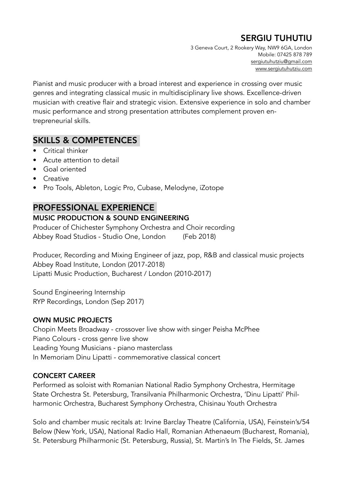# SERGIU TUHUTIU

3 Geneva Court, 2 Rookery Way, NW9 6GA, London Mobile: 07425 878 789 [sergiutuhutziu@gmail.com](mailto:sergiutuhutziu@gmail.com) [www.sergiutuhutziu.com](http://www.sergiutuhutziu.com)

Pianist and music producer with a broad interest and experience in crossing over music genres and integrating classical music in multidisciplinary live shows. Excellence-driven musician with creative flair and strategic vision. Extensive experience in solo and chamber music performance and strong presentation attributes complement proven entrepreneurial skills.

# SKILLS & COMPETENCES

- Critical thinker
- Acute attention to detail
- Goal oriented
- Creative
- Pro Tools, Ableton, Logic Pro, Cubase, Melodyne, iZotope

# PROFESSIONAL EXPERIENCE

#### MUSIC PRODUCTION & SOUND ENGINEERING

Producer of Chichester Symphony Orchestra and Choir recording Abbey Road Studios - Studio One, London (Feb 2018)

Producer, Recording and Mixing Engineer of jazz, pop, R&B and classical music projects Abbey Road Institute, London (2017-2018) Lipatti Music Production, Bucharest / London (2010-2017)

Sound Engineering Internship RYP Recordings, London (Sep 2017)

#### OWN MUSIC PROJECTS

Chopin Meets Broadway - crossover live show with singer Peisha McPhee Piano Colours - cross genre live show Leading Young Musicians - piano masterclass In Memoriam Dinu Lipatti - commemorative classical concert

#### CONCERT CAREER

Performed as soloist with Romanian National Radio Symphony Orchestra, Hermitage State Orchestra St. Petersburg, Transilvania Philharmonic Orchestra, 'Dinu Lipatti' Philharmonic Orchestra, Bucharest Symphony Orchestra, Chisinau Youth Orchestra

Solo and chamber music recitals at: Irvine Barclay Theatre (California, USA), Feinstein's/54 Below (New York, USA), National Radio Hall, Romanian Athenaeum (Bucharest, Romania), St. Petersburg Philharmonic (St. Petersburg, Russia), St. Martin's In The Fields, St. James